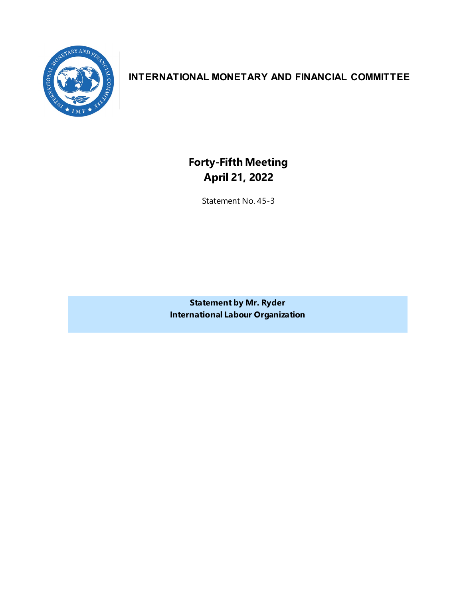

# **INTERNATIONAL MONETARY AND FINANCIAL COMMITTEE**

**Forty-Fifth Meeting April 21, 2022**

Statement No. 45-3

**Statement by Mr. Ryder International Labour Organization**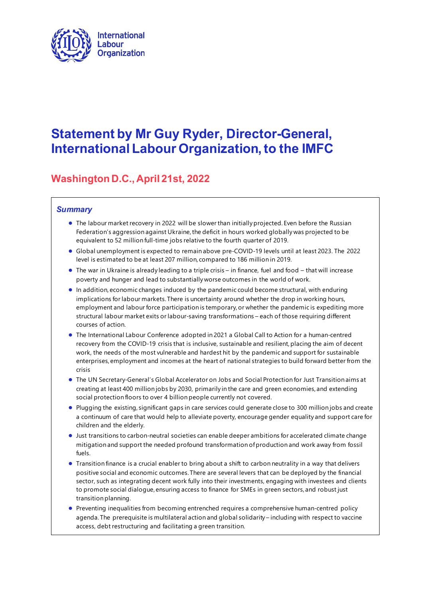

# **Statement by Mr Guy Ryder, Director-General, International Labour Organization, to the IMFC**

# **Washington D.C., April 21st, 2022**

#### *Summary*

- The labour market recovery in 2022 will be slower than initially projected. Even before the Russian Federation's aggression against Ukraine, the deficit in hours worked globally was projected to be equivalent to 52 million full-time jobs relative to the fourth quarter of 2019.
- Global unemployment is expected to remain above pre-COVID-19 levels until at least 2023. The 2022 level is estimated to be at least 207 million, compared to 186 million in 2019.
- The war in Ukraine is already leading to a triple crisis in finance, fuel and food that will increase poverty and hunger and lead to substantially worse outcomes in the world of work.
- In addition, economic changes induced by the pandemic could become structural, with enduring implications for labour markets. There is uncertainty around whether the drop in working hours, employment and labour force participation is temporary, or whether the pandemic is expediting more structural labour market exits or labour-saving transformations – each of those requiring different courses of action.
- The International Labour Conference adopted in 2021 a Global Call to Action for a human-centred recovery from the COVID-19 crisis that is inclusive, sustainable and resilient, placing the aim of decent work, the needs of the most vulnerable and hardest hit by the pandemic and support for sustainable enterprises, employment and incomes at the heart of national strategies to build forward better from the crisis
- The UN Secretary-General's Global Accelerator on Jobs and Social Protection for Just Transition aims at creating at least 400 million jobs by 2030, primarily in the care and green economies, and extending social protection floors to over 4 billion people currently not covered.
- Plugging the existing, significant gaps in care services could generate close to 300 million jobs and create a continuum of care that would help to alleviate poverty, encourage gender equality and support care for children and the elderly.
- Just transitions to carbon-neutral societies can enable deeper ambitions for accelerated climate change mitigation and support the needed profound transformation of production and work away from fossil fuels.
- Transition finance is a crucial enabler to bring about a shift to carbon neutrality in a way that delivers positive social and economic outcomes. There are several levers that can be deployed by the financial sector, such as integrating decent work fully into their investments, engaging with investees and clients to promote social dialogue, ensuring access to finance for SMEs in green sectors, and robust just transition planning.
- Preventing inequalities from becoming entrenched requires a comprehensive human-centred policy agenda. The prerequisite is multilateral action and global solidarity – including with respect to vaccine access, debt restructuring and facilitating a green transition.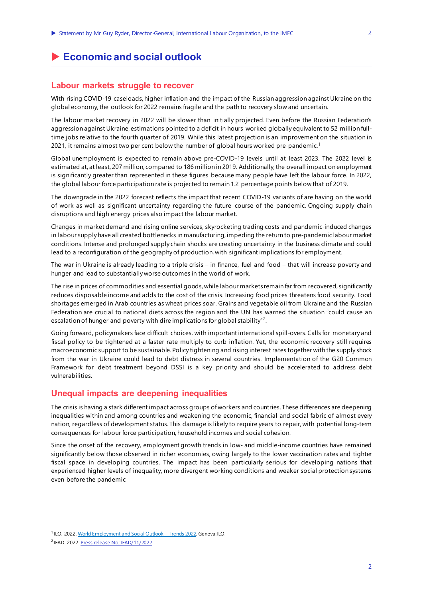# **Economic and social outlook**

#### **Labour markets struggle to recover**

With rising COVID-19 caseloads, higher inflation and the impact of the Russian aggression against Ukraine on the global economy, the outlook for 2022 remains fragile and the path to recovery slow and uncertain.

The labour market recovery in 2022 will be slower than initially projected. Even before the Russian Federation's aggression against Ukraine, estimations pointed to a deficit in hours worked globally equivalent to 52 million fulltime jobs relative to the fourth quarter of 2019. While this latest projection is an improvement on the situation in 202[1](#page-3-0), it remains almost two per cent below the number of global hours worked pre-pandemic.<sup>1</sup>

Global unemployment is expected to remain above pre-COVID-19 levels until at least 2023. The 2022 level is estimated at, at least, 207 million, compared to 186 million in 2019. Additionally, the overall impact on employment is significantly greater than represented in these figures because many people have left the labour force. In 2022, the global labour force participation rate is projected to remain 1.2 percentage points below that of 2019.

The downgrade in the 2022 forecast reflects the impact that recent COVID-19 variants of are having on the world of work as well as significant uncertainty regarding the future course of the pandemic. Ongoing supply chain disruptions and high energy prices also impact the labour market.

Changes in market demand and rising online services, skyrocketing trading costs and pandemic-induced changes in labour supply have all created bottlenecks in manufacturing, impeding the return to pre-pandemic labour market conditions. Intense and prolonged supply chain shocks are creating uncertainty in the business climate and could lead to a reconfiguration of the geography of production, with significant implications for employment.

The war in Ukraine is already leading to a triple crisis – in finance, fuel and food – that will increase poverty and hunger and lead to substantially worse outcomes in the world of work.

The rise in prices of commodities and essential goods, while labour markets remain far from recovered, significantly reduces disposable income and adds to the cost of the crisis. Increasing food prices threatens food security. Food shortages emerged in Arab countries as wheat prices soar. Grains and vegetable oil from Ukraine and the Russian Federation are crucial to national diets across the region and the UN has warned the situation "could cause an escalation of hunger and poverty with dire implications for global stability"<sup>[2](#page-3-1)</sup>.

Going forward, policymakers face difficult choices, with important international spill-overs. Calls for monetary and fiscal policy to be tightened at a faster rate multiply to curb inflation. Yet, the economic recovery still requires macroeconomic support to be sustainable. Policy tightening and rising interest rates together with the supply shock from the war in Ukraine could lead to debt distress in several countries. Implementation of the G20 Common Framework for debt treatment beyond DSSI is a key priority and should be accelerated to address debt vulnerabilities.

#### **Unequal impacts are deepening inequalities**

The crisis is having a stark different impact across groups of workers and countries. These differences are deepening inequalities within and among countries and weakening the economic, financial and social fabric of almost every nation, regardless of development status. This damage is likely to require years to repair, with potential long-term consequences for labour force participation, household incomes and social cohesion.

Since the onset of the recovery, employment growth trends in low- and middle-income countries have remained significantly below those observed in richer economies, owing largely to the lower vaccination rates and tighter fiscal space in developing countries. The impact has been particularly serious for developing nations that experienced higher levels of inequality, more divergent working conditions and weaker social protection systems even before the pandemic

<span id="page-3-0"></span><sup>1</sup> ILO. 2022. World [Employment and Social Outlook](https://www.ilo.org/global/research/global-reports/weso/trends2022/WCMS_834081/lang--en/index.htm) – Trends 2022. Geneva: ILO.

<span id="page-3-1"></span><sup>2</sup> IFAD. 2022. [Press release No.: IFAD/11/2022](https://www.ifad.org/en/web/latest/-/impacts-of-ukraine-conflict-on-food-security-already-being-felt-in-the-near-east-north-africa-region-and-will-quickly-spread-warns-ifad)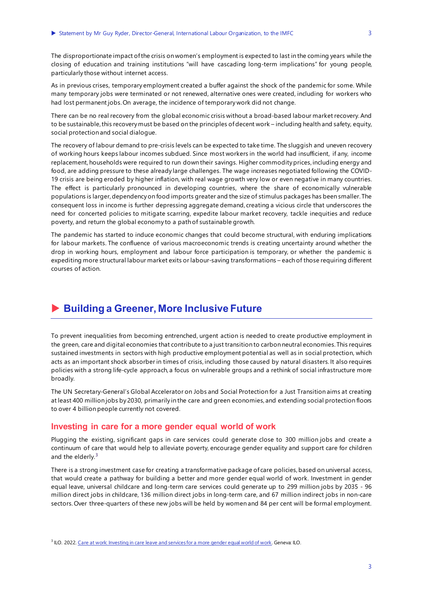The disproportionate impact of the crisis on women's employment is expected to last in the coming years while the closing of education and training institutions "will have cascading long-term implications" for young people, particularly those without internet access.

As in previous crises, temporary employment created a buffer against the shock of the pandemic for some. While many temporary jobs were terminated or not renewed, alternative ones were created, including for workers who had lost permanent jobs. On average, the incidence of temporary work did not change.

There can be no real recovery from the global economic crisis without a broad-based labour market recovery. And to be sustainable, this recovery must be based on the principles of decent work – including health and safety, equity, social protection and social dialogue.

The recovery of labour demand to pre-crisis levels can be expected to take time. The sluggish and uneven recovery of working hours keeps labour incomes subdued. Since most workers in the world had insufficient, if any, income replacement, households were required to run down their savings. Higher commodity prices, including energy and food, are adding pressure to these already large challenges. The wage increases negotiated following the COVID-19 crisis are being eroded by higher inflation, with real wage growth very low or even negative in many countries. The effect is particularly pronounced in developing countries, where the share of economically vulnerable populations is larger, dependency on food imports greater and the size of stimulus packages has been smaller. The consequent loss in income is further depressing aggregate demand, creating a vicious circle that underscores the need for concerted policies to mitigate scarring, expedite labour market recovery, tackle inequities and reduce poverty, and return the global economy to a path of sustainable growth.

The pandemic has started to induce economic changes that could become structural, with enduring implications for labour markets. The confluence of various macroeconomic trends is creating uncertainty around whether the drop in working hours, employment and labour force participation is temporary, or whether the pandemic is expediting more structural labour market exits or labour-saving transformations – each of those requiring different courses of action.

### **Building a Greener, More Inclusive Future**

To prevent inequalities from becoming entrenched, urgent action is needed to create productive employment in the green, care and digital economies that contribute to a just transition to carbon neutral economies. This requires sustained investments in sectors with high productive employment potential as well as in social protection, which acts as an important shock absorber in times of crisis, including those caused by natural disasters. It also requires policies with a strong life-cycle approach, a focus on vulnerable groups and a rethink of social infrastructure more broadly.

The UN Secretary-General's Global Accelerator on Jobs and Social Protection for a Just Transition aims at creating at least 400 million jobs by 2030, primarily in the care and green economies, and extending social protection floors to over 4 billion people currently not covered.

#### **Investing in care for a more gender equal world of work**

Plugging the existing, significant gaps in care services could generate close to 300 million jobs and create a continuum of care that would help to alleviate poverty, encourage gender equality and support care for children and the elderly. $3$ 

There is a strong investment case for creating a transformative package of care policies, based on universal access, that would create a pathway for building a better and more gender equal world of work. Investment in gender equal leave, universal childcare and long-term care services could generate up to 299 million jobs by 2035 - 96 million direct jobs in childcare, 136 million direct jobs in long-term care, and 67 million indirect jobs in non-care sectors. Over three-quarters of these new jobs will be held by women and 84 per cent will be formal employment.

<span id="page-4-0"></span><sup>&</sup>lt;sup>3</sup> ILO. 2022. [Care at work: Investing in care leave and services for a more gender equal world of work](https://www.ilo.org/wcmsp5/groups/public/---dgreports/---dcomm/documents/publication/wcms_838653.pdf). Geneva: ILO.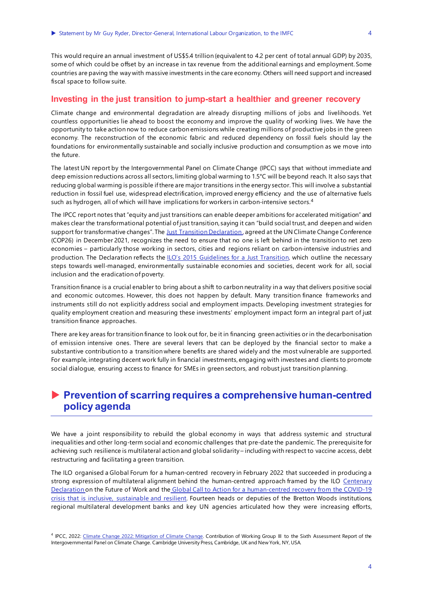This would require an annual investment of US\$5.4 trillion (equivalent to 4.2 per cent of total annual GDP) by 2035, some of which could be offset by an increase in tax revenue from the additional earnings and employment. Some countries are paving the way with massive investments in the care economy. Others will need support and increased fiscal space to follow suite.

#### **Investing in the just transition to jump-start a healthier and greener recovery**

Climate change and environmental degradation are already disrupting millions of jobs and livelihoods. Yet countless opportunities lie ahead to boost the economy and improve the quality of working lives. We have the opportunity to take action now to reduce carbon emissions while creating millions of productive jobs in the green economy. The reconstruction of the economic fabric and reduced dependency on fossil fuels should lay the foundations for environmentally sustainable and socially inclusive production and consumption as we move into the future.

The latest UN report by the Intergovernmental Panel on Climate Change (IPCC) says that without immediate and deep emission reductions across all sectors, limiting global warming to 1.5°C will be beyond reach. It also says that reducing global warming is possible if there are major transitions in the energy sector. This will involve a substantial reduction in fossil fuel use, widespread electrification, improved energy efficiency and the use of alternative fuels such as hydrogen, all of which will have implications for workers in carbon-intensive sectors. [4](#page-5-0)

The IPCC report notes that "equity and just transitions can enable deeper ambitions for accelerated mitigation" and makes clear the transformational potential of just transition, saying it can "build social trust, and deepen and widen support for transformative changes". The [Just Transition Declaration](https://ukcop26.org/supporting-the-conditions-for-a-just-transition-internationally/), agreed at the UN Climate Change Conference (COP26) in December 2021, recognizes the need to ensure that no one is left behind in the transition to net zero economies – particularly those working in sectors, cities and regions reliant on carbon-intensive industries and production. The Declaration reflects the [ILO's 2015 Guidelines for a Just Transition,](https://www.ilo.org/global/topics/green-jobs/publications/WCMS_432859/lang--en/index.htm) which outline the necessary steps towards well-managed, environmentally sustainable economies and societies, decent work for all, social inclusion and the eradication of poverty.

Transition finance is a crucial enabler to bring about a shift to carbon neutrality in a way that delivers positive social and economic outcomes. However, this does not happen by default. Many transition finance frameworks and instruments still do not explicitly address social and employment impacts. Developing investment strategies for quality employment creation and measuring these investments' employment impact form an integral part of just transition finance approaches.

There are key areas for transition finance to look out for, be it in financing green activities or in the decarbonisation of emission intensive ones. There are several levers that can be deployed by the financial sector to make a substantive contribution to a transition where benefits are shared widely and the most vulnerable are supported. For example, integrating decent work fully in financial investments, engaging with investees and clients to promote social dialogue, ensuring access to finance for SMEs in green sectors, and robust just transition planning.

## **Prevention of scarring requires a comprehensive human-centred policy agenda**

We have a joint responsibility to rebuild the global economy in ways that address systemic and structural inequalities and other long-term social and economic challenges that pre-date the pandemic. The prerequisite for achieving such resilience is multilateral action and global solidarity – including with respect to vaccine access, debt restructuring and facilitating a green transition.

The ILO organised a Global Forum for a human-centred recovery in February 2022 that succeeded in producing a strong expression of multilateral alignment behind the human-centred approach framed by the ILO [Centenary](https://www.ilo.org/global/about-the-ilo/mission-and-objectives/centenary-declaration/lang--en/index.htm)  [Declaration](https://www.ilo.org/global/about-the-ilo/mission-and-objectives/centenary-declaration/lang--en/index.htm) on the Future of Work and the [Global Call to Action for a human-centred recovery from the COVID-19](https://www.ilo.org/ilc/ILCSessions/109/reports/texts-adopted/WCMS_806092/lang--en/index.htm)  [crisis that is inclusive, sustainable and resilient](https://www.ilo.org/ilc/ILCSessions/109/reports/texts-adopted/WCMS_806092/lang--en/index.htm). Fourteen heads or deputies of the Bretton Woods institutions, regional multilateral development banks and key UN agencies articulated how they were increasing efforts,

<span id="page-5-0"></span><sup>&</sup>lt;sup>4</sup> IPCC, 2022[: Climate Change 2022: Mitigation of Climate Change](https://report.ipcc.ch/ar6wg3/). Contribution of Working Group III to the Sixth Assessment Report of the Intergovernmental Panel on Climate Change. Cambridge University Press, Cambridge, UK and New York, NY, USA.